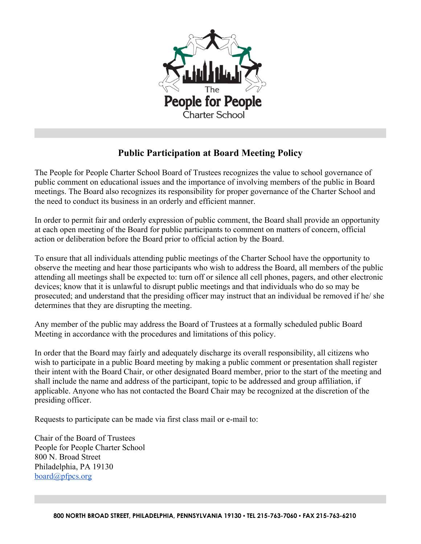

## **Public Participation at Board Meeting Policy**

The People for People Charter School Board of Trustees recognizes the value to school governance of public comment on educational issues and the importance of involving members of the public in Board meetings. The Board also recognizes its responsibility for proper governance of the Charter School and the need to conduct its business in an orderly and efficient manner.

In order to permit fair and orderly expression of public comment, the Board shall provide an opportunity at each open meeting of the Board for public participants to comment on matters of concern, official action or deliberation before the Board prior to official action by the Board.

To ensure that all individuals attending public meetings of the Charter School have the opportunity to observe the meeting and hear those participants who wish to address the Board, all members of the public attending all meetings shall be expected to: turn off or silence all cell phones, pagers, and other electronic devices; know that it is unlawful to disrupt public meetings and that individuals who do so may be prosecuted; and understand that the presiding officer may instruct that an individual be removed if he/ she determines that they are disrupting the meeting.

Any member of the public may address the Board of Trustees at a formally scheduled public Board Meeting in accordance with the procedures and limitations of this policy.

In order that the Board may fairly and adequately discharge its overall responsibility, all citizens who wish to participate in a public Board meeting by making a public comment or presentation shall register their intent with the Board Chair, or other designated Board member, prior to the start of the meeting and shall include the name and address of the participant, topic to be addressed and group affiliation, if applicable. Anyone who has not contacted the Board Chair may be recognized at the discretion of the presiding officer.

Requests to participate can be made via first class mail or e-mail to:

Chair of the Board of Trustees People for People Charter School 800 N. Broad Street Philadelphia, PA 19130 board@pfpcs.org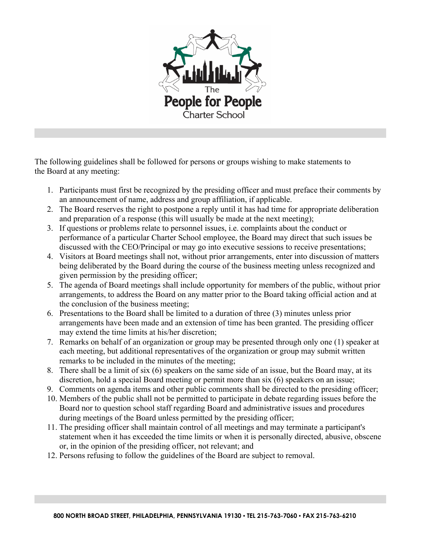

The following guidelines shall be followed for persons or groups wishing to make statements to the Board at any meeting:

- 1. Participants must first be recognized by the presiding officer and must preface their comments by an announcement of name, address and group affiliation, if applicable.
- 2. The Board reserves the right to postpone a reply until it has had time for appropriate deliberation and preparation of a response (this will usually be made at the next meeting);
- 3. If questions or problems relate to personnel issues, i.e. complaints about the conduct or performance of a particular Charter School employee, the Board may direct that such issues be discussed with the CEO/Principal or may go into executive sessions to receive presentations;
- 4. Visitors at Board meetings shall not, without prior arrangements, enter into discussion of matters being deliberated by the Board during the course of the business meeting unless recognized and given permission by the presiding officer;
- 5. The agenda of Board meetings shall include opportunity for members of the public, without prior arrangements, to address the Board on any matter prior to the Board taking official action and at the conclusion of the business meeting;
- 6. Presentations to the Board shall be limited to a duration of three (3) minutes unless prior arrangements have been made and an extension of time has been granted. The presiding officer may extend the time limits at his/her discretion;
- 7. Remarks on behalf of an organization or group may be presented through only one (1) speaker at each meeting, but additional representatives of the organization or group may submit written remarks to be included in the minutes of the meeting;
- 8. There shall be a limit of six (6) speakers on the same side of an issue, but the Board may, at its discretion, hold a special Board meeting or permit more than six (6) speakers on an issue;
- 9. Comments on agenda items and other public comments shall be directed to the presiding officer;
- 10. Members of the public shall not be permitted to participate in debate regarding issues before the Board nor to question school staff regarding Board and administrative issues and procedures during meetings of the Board unless permitted by the presiding officer;
- 11. The presiding officer shall maintain control of all meetings and may terminate a participant's statement when it has exceeded the time limits or when it is personally directed, abusive, obscene or, in the opinion of the presiding officer, not relevant; and
- 12. Persons refusing to follow the guidelines of the Board are subject to removal.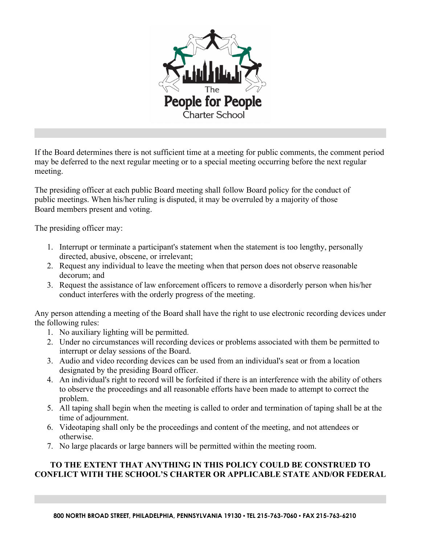

If the Board determines there is not sufficient time at a meeting for public comments, the comment period may be deferred to the next regular meeting or to a special meeting occurring before the next regular meeting.

The presiding officer at each public Board meeting shall follow Board policy for the conduct of public meetings. When his/her ruling is disputed, it may be overruled by a majority of those Board members present and voting.

The presiding officer may:

- 1. Interrupt or terminate a participant's statement when the statement is too lengthy, personally directed, abusive, obscene, or irrelevant;
- 2. Request any individual to leave the meeting when that person does not observe reasonable decorum; and
- 3. Request the assistance of law enforcement officers to remove a disorderly person when his/her conduct interferes with the orderly progress of the meeting.

Any person attending a meeting of the Board shall have the right to use electronic recording devices under the following rules:

- 1. No auxiliary lighting will be permitted.
- 2. Under no circumstances will recording devices or problems associated with them be permitted to interrupt or delay sessions of the Board.
- 3. Audio and video recording devices can be used from an individual's seat or from a location designated by the presiding Board officer.
- 4. An individual's right to record will be forfeited if there is an interference with the ability of others to observe the proceedings and all reasonable efforts have been made to attempt to correct the problem.
- 5. All taping shall begin when the meeting is called to order and termination of taping shall be at the time of adjournment.
- 6. Videotaping shall only be the proceedings and content of the meeting, and not attendees or otherwise.
- 7. No large placards or large banners will be permitted within the meeting room.

## **TO THE EXTENT THAT ANYTHING IN THIS POLICY COULD BE CONSTRUED TO CONFLICT WITH THE SCHOOL'S CHARTER OR APPLICABLE STATE AND/OR FEDERAL**